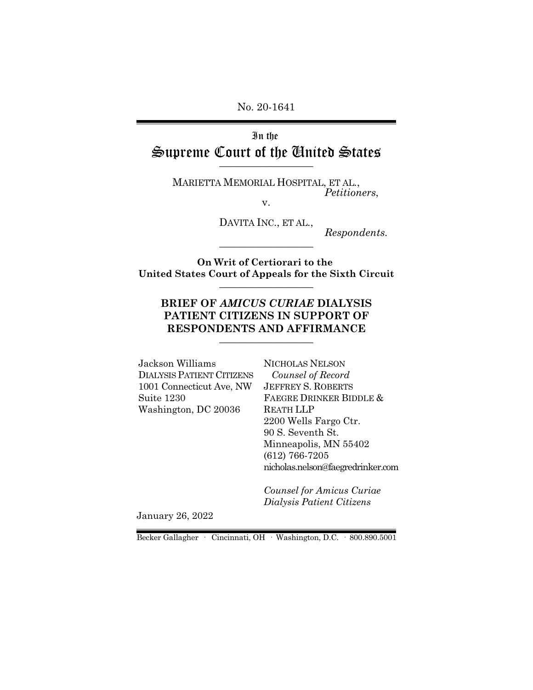No. 20-1641

## In the Supreme Court of the United States  $\overline{\phantom{a}}$  , where  $\overline{\phantom{a}}$

MARIETTA MEMORIAL HOSPITAL, ET AL., *Petitioners*,

v.

DAVITA INC., ET AL.,

*Respondents.*

**On Writ of Certiorari to the United States Court of Appeals for the Sixth Circuit** \_\_\_\_\_\_\_\_\_\_\_\_\_\_\_\_\_\_

\_\_\_\_\_\_\_\_\_\_\_\_\_\_\_\_\_\_

### **BRIEF OF** *AMICUS CURIAE* **DIALYSIS PATIENT CITIZENS IN SUPPORT OF RESPONDENTS AND AFFIRMANCE**  $\_$

Jackson Williams DIALYSIS PATIENT CITIZENS 1001 Connecticut Ave, NW Suite 1230 Washington, DC 20036

NICHOLAS NELSON  *Counsel of Record* JEFFREY S. ROBERTS FAEGRE DRINKER BIDDLE & REATH LLP 2200 Wells Fargo Ctr. 90 S. Seventh St. Minneapolis, MN 55402 (612) 766-7205 nicholas.nelson@faegredrinker.com

*Counsel for Amicus Curiae Dialysis Patient Citizens*

January 26, 2022

Becker Gallagher · Cincinnati, OH · Washington, D.C. · 800.890.5001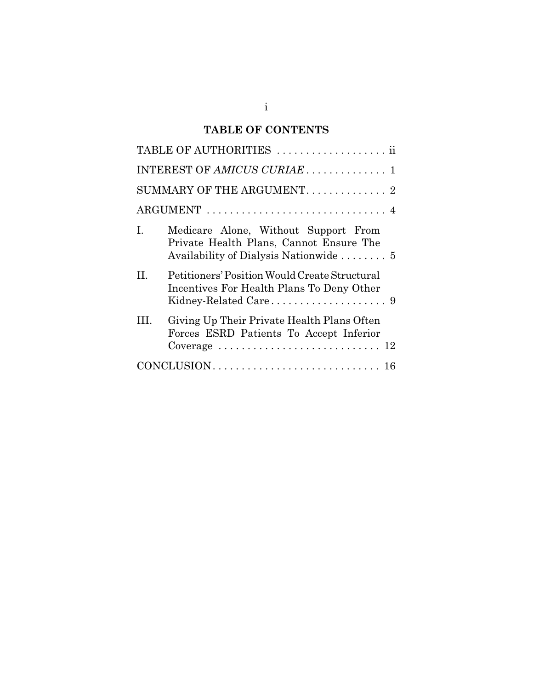# **TABLE OF CONTENTS**

| TABLE OF AUTHORITIES  ii                                                                                                        |
|---------------------------------------------------------------------------------------------------------------------------------|
| INTEREST OF AMICUS CURIAE 1                                                                                                     |
| SUMMARY OF THE ARGUMENT. 2                                                                                                      |
|                                                                                                                                 |
| Medicare Alone, Without Support From<br>I.<br>Private Health Plans, Cannot Ensure The<br>Availability of Dialysis Nationwide  5 |
| Petitioners' Position Would Create Structural<br>H.<br>Incentives For Health Plans To Deny Other                                |
| Giving Up Their Private Health Plans Often<br>Ш.<br>Forces ESRD Patients To Accept Inferior                                     |
|                                                                                                                                 |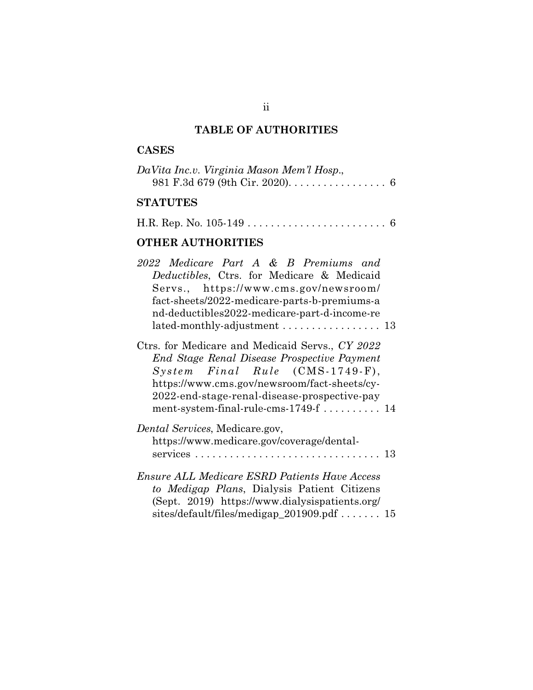# **TABLE OF AUTHORITIES**

## **CASES**

| DaVita Inc.v. Virginia Mason Mem'l Hosp.,                       |  |
|-----------------------------------------------------------------|--|
| 981 F.3d 679 (9th Cir. 2020). $\dots \dots \dots \dots \dots$ 6 |  |

# **STATUTES**

|--|--|--|

# **OTHER AUTHORITIES**

| 2022 Medicare Part A & B Premiums and                |  |
|------------------------------------------------------|--|
| Deductibles, Ctrs. for Medicare & Medicaid           |  |
| Servs., https://www.cms.gov/newsroom/                |  |
| fact-sheets/2022-medicare-parts-b-premiums-a         |  |
| nd-deductibles2022-medicare-part-d-income-re         |  |
| lated-monthly-adjustment  13                         |  |
|                                                      |  |
| Ctrs. for Medicare and Medicaid Servs., CY 2022      |  |
| End Stage Renal Disease Prospective Payment          |  |
| System Final Rule (CMS-1749-F),                      |  |
| https://www.cms.gov/newsroom/fact-sheets/cy-         |  |
| 2022-end-stage-renal-disease-prospective-pay         |  |
| ment-system-final-rule-cms- $1749$ -f  14            |  |
| <i>Dental Services, Medicare.gov,</i>                |  |
| https://www.medicare.gov/coverage/dental-            |  |
|                                                      |  |
|                                                      |  |
| <b>Ensure ALL Medicare ESRD Patients Have Access</b> |  |
| to Medigap Plans, Dialysis Patient Citizens          |  |
| (Sept. 2019) https://www.dialysispatients.org/       |  |
| sites/default/files/medigap_201909.pdf $15$          |  |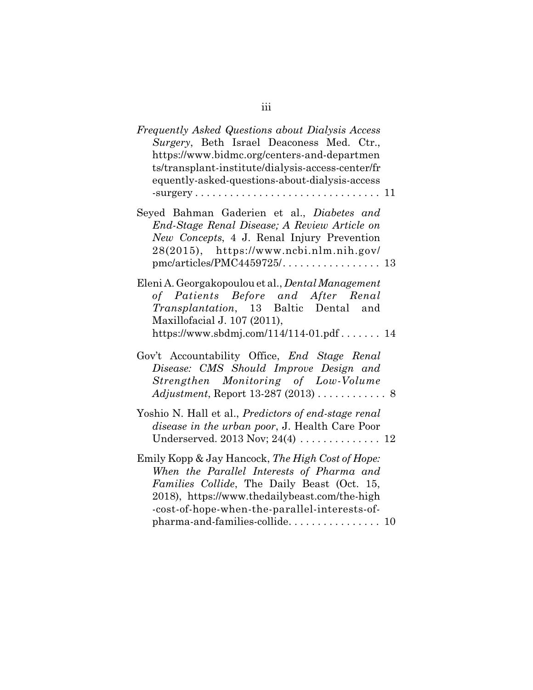| Frequently Asked Questions about Dialysis Access<br>Surgery, Beth Israel Deaconess Med. Ctr.,<br>https://www.bidmc.org/centers-and-departmen<br>ts/transplant-institute/dialysis-access-center/fr<br>equently-asked-questions-about-dialysis-access                              |
|----------------------------------------------------------------------------------------------------------------------------------------------------------------------------------------------------------------------------------------------------------------------------------|
| Seyed Bahman Gaderien et al., Diabetes and<br>End-Stage Renal Disease; A Review Article on<br>New Concepts, 4 J. Renal Injury Prevention<br>28(2015), https://www.ncbi.nlm.nih.gov/                                                                                              |
| Eleni A. Georgakopoulou et al., Dental Management<br>of Patients Before and After Renal<br><i>Transplantation</i> , 13 Baltic Dental and<br>Maxillofacial J. 107 (2011),<br>https://www.sbdmj.com/114/114-01.pdf 14                                                              |
| Gov't Accountability Office, End Stage Renal<br>Disease: CMS Should Improve Design and<br>Strengthen Monitoring of Low-Volume<br>$Adjustment$ , Report 13-287 (2013) 8                                                                                                           |
| Yoshio N. Hall et al., Predictors of end-stage renal<br><i>disease in the urban poor, J. Health Care Poor</i>                                                                                                                                                                    |
| Emily Kopp & Jay Hancock, The High Cost of Hope:<br>When the Parallel Interests of Pharma and<br>Families Collide, The Daily Beast (Oct. 15,<br>2018), https://www.thedailybeast.com/the-high<br>-cost-of-hope-when-the-parallel-interests-of-<br>pharma-and-families-collide 10 |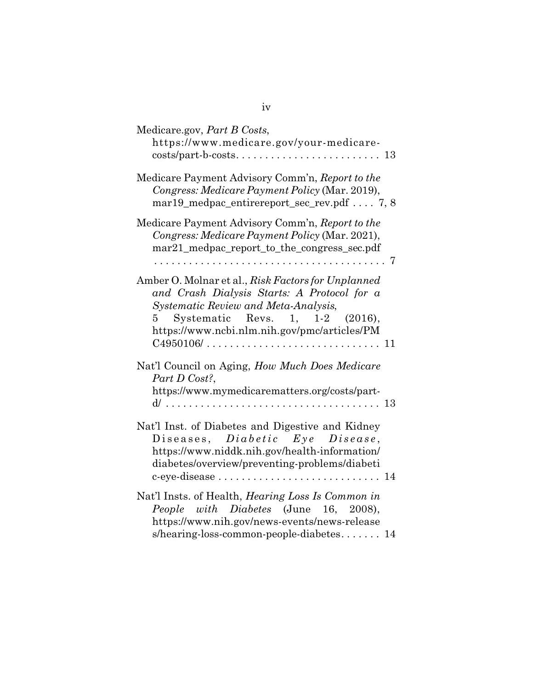| Medicare.gov, Part B Costs,<br>https://www.medicare.gov/your-medicare-                                                                                                                                                                                                           |
|----------------------------------------------------------------------------------------------------------------------------------------------------------------------------------------------------------------------------------------------------------------------------------|
| Medicare Payment Advisory Comm'n, Report to the<br>Congress: Medicare Payment Policy (Mar. 2019),<br>$mar19$ _medpac_entirereport_sec_rev.pdf  7, 8                                                                                                                              |
| Medicare Payment Advisory Comm'n, Report to the<br>Congress: Medicare Payment Policy (Mar. 2021),<br>mar21_medpac_report_to_the_congress_sec.pdf                                                                                                                                 |
| Amber O. Molnar et al., Risk Factors for Unplanned<br>and Crash Dialysis Starts: A Protocol for a<br>Systematic Review and Meta-Analysis,<br>Systematic Revs. 1, 1-2 (2016),<br>$5\quad$<br>https://www.ncbi.nlm.nih.gov/pmc/articles/PM                                         |
| Nat'l Council on Aging, How Much Does Medicare<br>Part D Cost?,<br>https://www.mymedicarematters.org/costs/part-                                                                                                                                                                 |
| Nat'l Inst. of Diabetes and Digestive and Kidney<br>Diseases, Diabetic Eye Disease,<br>https://www.niddk.nih.gov/health-information/<br>diabetes/overview/preventing-problems/diabeti<br>c-eye-disease $\dots \dots \dots \dots \dots \dots \dots \dots \dots \dots \dots \dots$ |
| Nat'l Insts. of Health, <i>Hearing Loss Is Common in</i><br>People with Diabetes (June 16, 2008),<br>https://www.nih.gov/news-events/news-release<br>s/hearing-loss-common-people-diabetes 14                                                                                    |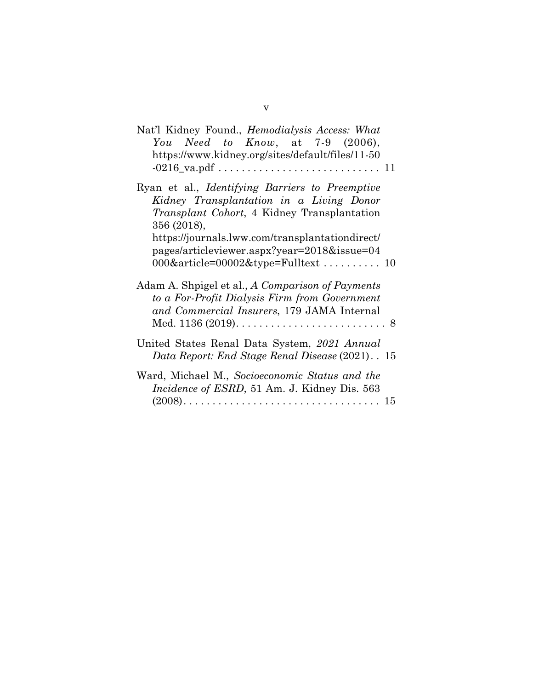| Nat'l Kidney Found., <i>Hemodialysis Access: What</i><br>You Need to Know, at $7-9$ (2006),<br>https://www.kidney.org/sites/default/files/11-50                          |  |
|--------------------------------------------------------------------------------------------------------------------------------------------------------------------------|--|
| Ryan et al., <i>Identifying Barriers to Preemptive</i><br>Kidney Transplantation in a Living Donor<br><i>Transplant Cohort</i> , 4 Kidney Transplantation<br>356 (2018), |  |
| https://journals.lww.com/transplantationdirect/<br>pages/articleviewer.aspx?year=2018&issue=04<br>$000\&$ article= $00002\&$ type=Fulltext  10                           |  |
| Adam A. Shpigel et al., A Comparison of Payments<br>to a For-Profit Dialysis Firm from Government<br>and Commercial Insurers, 179 JAMA Internal                          |  |
| United States Renal Data System, 2021 Annual<br>Data Report: End Stage Renal Disease (2021). 15                                                                          |  |
| Ward, Michael M., Socioeconomic Status and the<br><i>Incidence of ESRD</i> , 51 Am. J. Kidney Dis. 563                                                                   |  |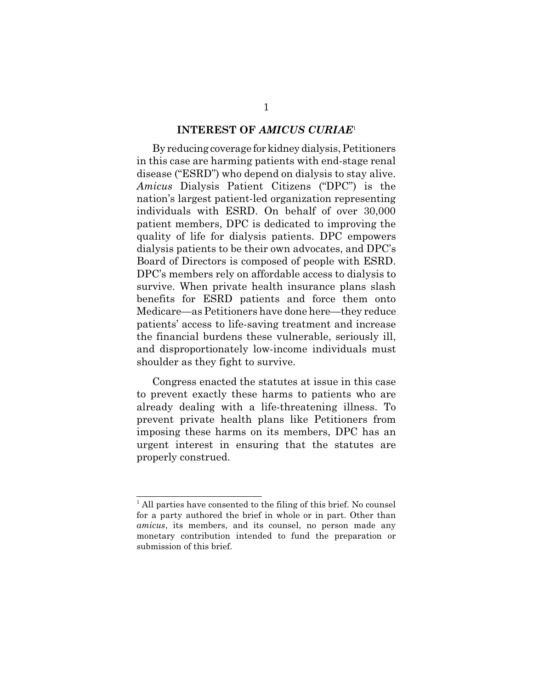#### **INTEREST OF** *AMICUS CURIAE*<sup>1</sup>

By reducing coverage for kidney dialysis, Petitioners in this case are harming patients with end-stage renal disease ("ESRD") who depend on dialysis to stay alive. *Amicus* Dialysis Patient Citizens ("DPC") is the nation's largest patient-led organization representing individuals with ESRD. On behalf of over 30,000 patient members, DPC is dedicated to improving the quality of life for dialysis patients. DPC empowers dialysis patients to be their own advocates, and DPC's Board of Directors is composed of people with ESRD. DPC's members rely on affordable access to dialysis to survive. When private health insurance plans slash benefits for ESRD patients and force them onto Medicare—as Petitioners have done here—they reduce patients' access to life-saving treatment and increase the financial burdens these vulnerable, seriously ill, and disproportionately low-income individuals must shoulder as they fight to survive.

Congress enacted the statutes at issue in this case to prevent exactly these harms to patients who are already dealing with a life-threatening illness. To prevent private health plans like Petitioners from imposing these harms on its members, DPC has an urgent interest in ensuring that the statutes are properly construed.

<sup>&</sup>lt;sup>1</sup> All parties have consented to the filing of this brief. No counsel for a party authored the brief in whole or in part. Other than *amicus*, its members, and its counsel, no person made any monetary contribution intended to fund the preparation or submission of this brief.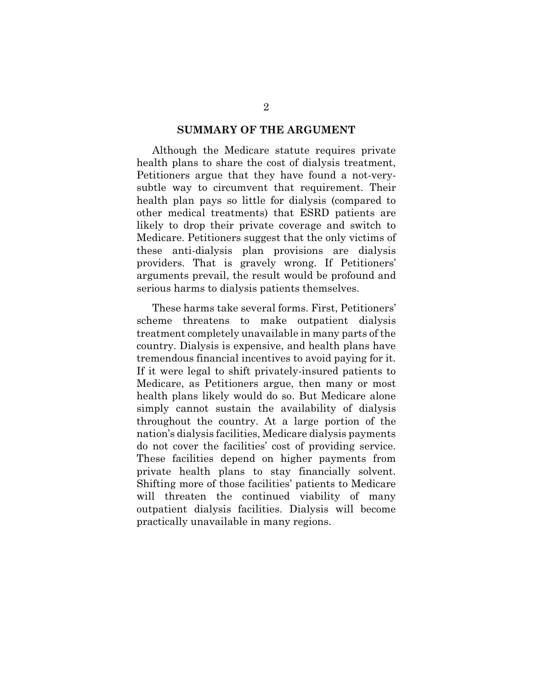#### **SUMMARY OF THE ARGUMENT**

Although the Medicare statute requires private health plans to share the cost of dialysis treatment, Petitioners argue that they have found a not-verysubtle way to circumvent that requirement. Their health plan pays so little for dialysis (compared to other medical treatments) that ESRD patients are likely to drop their private coverage and switch to Medicare. Petitioners suggest that the only victims of these anti-dialysis plan provisions are dialysis providers. That is gravely wrong. If Petitioners' arguments prevail, the result would be profound and serious harms to dialysis patients themselves.

These harms take several forms. First, Petitioners' scheme threatens to make outpatient dialysis treatment completely unavailable in many parts of the country. Dialysis is expensive, and health plans have tremendous financial incentives to avoid paying for it. If it were legal to shift privately-insured patients to Medicare, as Petitioners argue, then many or most health plans likely would do so. But Medicare alone simply cannot sustain the availability of dialysis throughout the country. At a large portion of the nation's dialysis facilities, Medicare dialysis payments do not cover the facilities' cost of providing service. These facilities depend on higher payments from private health plans to stay financially solvent. Shifting more of those facilities' patients to Medicare will threaten the continued viability of many outpatient dialysis facilities. Dialysis will become practically unavailable in many regions.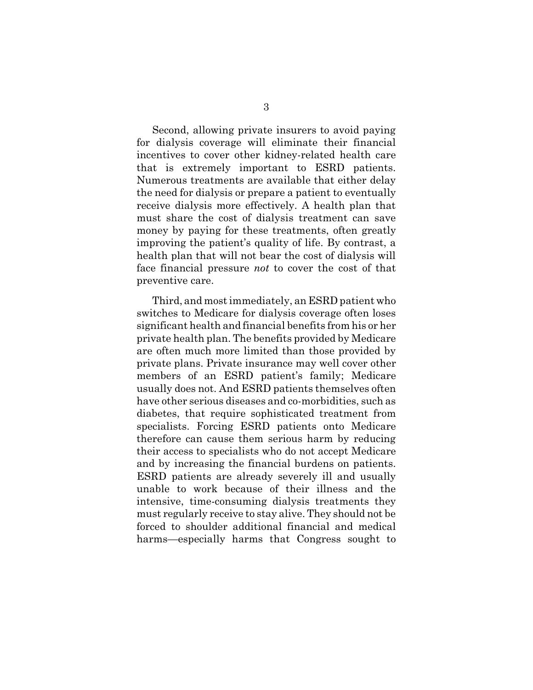Second, allowing private insurers to avoid paying for dialysis coverage will eliminate their financial incentives to cover other kidney-related health care that is extremely important to ESRD patients. Numerous treatments are available that either delay the need for dialysis or prepare a patient to eventually receive dialysis more effectively. A health plan that must share the cost of dialysis treatment can save money by paying for these treatments, often greatly improving the patient's quality of life. By contrast, a health plan that will not bear the cost of dialysis will face financial pressure *not* to cover the cost of that preventive care.

Third, and most immediately, an ESRD patient who switches to Medicare for dialysis coverage often loses significant health and financial benefits from his or her private health plan. The benefits provided by Medicare are often much more limited than those provided by private plans. Private insurance may well cover other members of an ESRD patient's family; Medicare usually does not. And ESRD patients themselves often have other serious diseases and co-morbidities, such as diabetes, that require sophisticated treatment from specialists. Forcing ESRD patients onto Medicare therefore can cause them serious harm by reducing their access to specialists who do not accept Medicare and by increasing the financial burdens on patients. ESRD patients are already severely ill and usually unable to work because of their illness and the intensive, time-consuming dialysis treatments they must regularly receive to stay alive. They should not be forced to shoulder additional financial and medical harms—especially harms that Congress sought to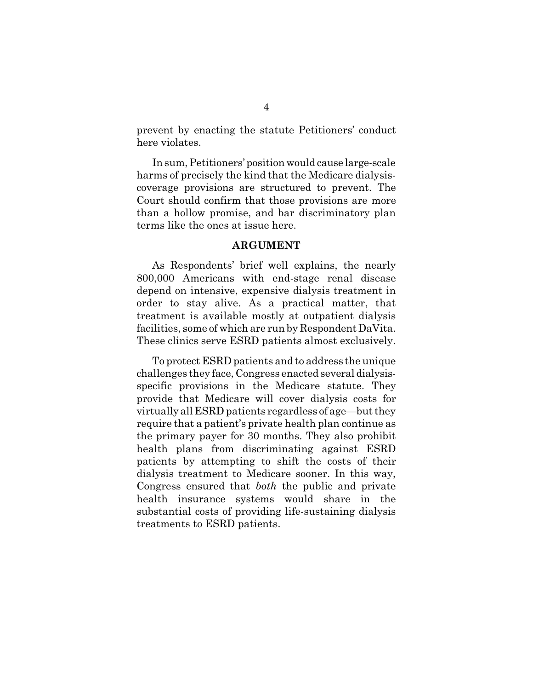prevent by enacting the statute Petitioners' conduct here violates.

In sum, Petitioners' position would cause large-scale harms of precisely the kind that the Medicare dialysiscoverage provisions are structured to prevent. The Court should confirm that those provisions are more than a hollow promise, and bar discriminatory plan terms like the ones at issue here.

#### **ARGUMENT**

As Respondents' brief well explains, the nearly 800,000 Americans with end-stage renal disease depend on intensive, expensive dialysis treatment in order to stay alive. As a practical matter, that treatment is available mostly at outpatient dialysis facilities, some of which are run by Respondent DaVita. These clinics serve ESRD patients almost exclusively.

To protect ESRD patients and to address the unique challenges they face, Congress enacted several dialysisspecific provisions in the Medicare statute. They provide that Medicare will cover dialysis costs for virtually all ESRD patients regardless of age—but they require that a patient's private health plan continue as the primary payer for 30 months. They also prohibit health plans from discriminating against ESRD patients by attempting to shift the costs of their dialysis treatment to Medicare sooner. In this way, Congress ensured that *both* the public and private health insurance systems would share in the substantial costs of providing life-sustaining dialysis treatments to ESRD patients.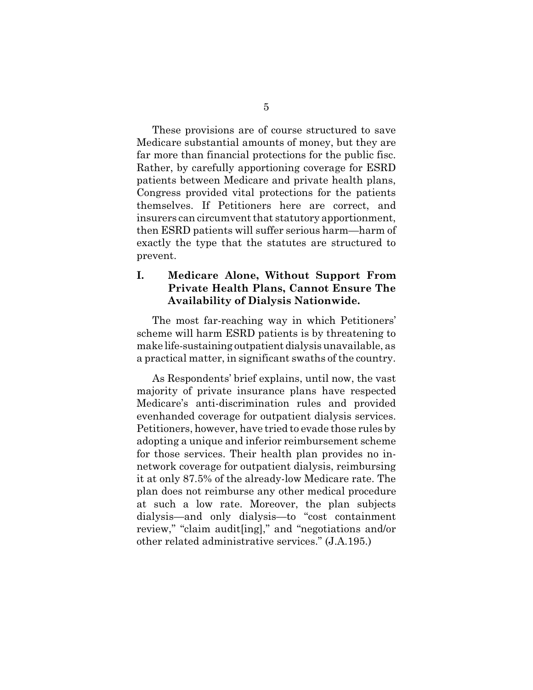These provisions are of course structured to save Medicare substantial amounts of money, but they are far more than financial protections for the public fisc. Rather, by carefully apportioning coverage for ESRD patients between Medicare and private health plans, Congress provided vital protections for the patients themselves. If Petitioners here are correct, and insurers can circumvent that statutory apportionment, then ESRD patients will suffer serious harm—harm of exactly the type that the statutes are structured to prevent.

## **I. Medicare Alone, Without Support From Private Health Plans, Cannot Ensure The Availability of Dialysis Nationwide.**

The most far-reaching way in which Petitioners' scheme will harm ESRD patients is by threatening to make life-sustaining outpatient dialysis unavailable, as a practical matter, in significant swaths of the country.

As Respondents' brief explains, until now, the vast majority of private insurance plans have respected Medicare's anti-discrimination rules and provided evenhanded coverage for outpatient dialysis services. Petitioners, however, have tried to evade those rules by adopting a unique and inferior reimbursement scheme for those services. Their health plan provides no innetwork coverage for outpatient dialysis, reimbursing it at only 87.5% of the already-low Medicare rate. The plan does not reimburse any other medical procedure at such a low rate. Moreover, the plan subjects dialysis—and only dialysis—to "cost containment review," "claim audit[ing]," and "negotiations and/or other related administrative services." (J.A.195.)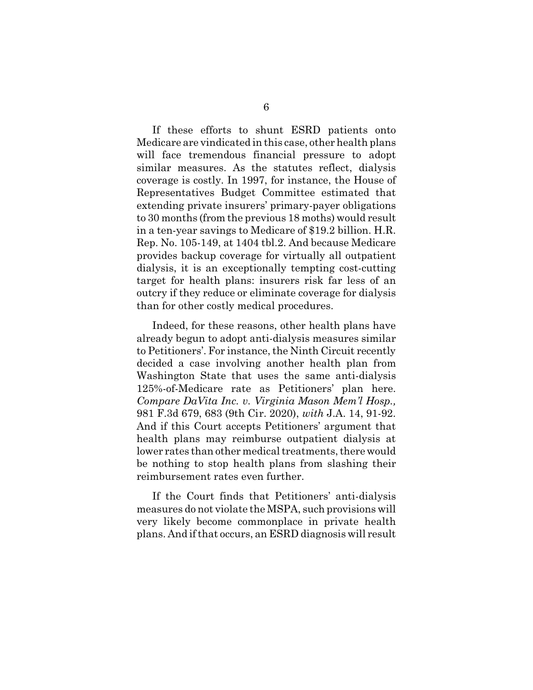If these efforts to shunt ESRD patients onto Medicare are vindicated in this case, other health plans will face tremendous financial pressure to adopt similar measures. As the statutes reflect, dialysis coverage is costly. In 1997, for instance, the House of Representatives Budget Committee estimated that extending private insurers' primary-payer obligations to 30 months (from the previous 18 moths) would result in a ten-year savings to Medicare of \$19.2 billion. H.R. Rep. No. 105-149, at 1404 tbl.2. And because Medicare provides backup coverage for virtually all outpatient dialysis, it is an exceptionally tempting cost-cutting target for health plans: insurers risk far less of an outcry if they reduce or eliminate coverage for dialysis than for other costly medical procedures.

Indeed, for these reasons, other health plans have already begun to adopt anti-dialysis measures similar to Petitioners'. For instance, the Ninth Circuit recently decided a case involving another health plan from Washington State that uses the same anti-dialysis 125%-of-Medicare rate as Petitioners' plan here. *Compare DaVita Inc. v. Virginia Mason Mem'l Hosp.,* 981 F.3d 679, 683 (9th Cir. 2020), *with* J.A. 14, 91-92. And if this Court accepts Petitioners' argument that health plans may reimburse outpatient dialysis at lower rates than other medical treatments, there would be nothing to stop health plans from slashing their reimbursement rates even further.

If the Court finds that Petitioners' anti-dialysis measures do not violate the MSPA, such provisions will very likely become commonplace in private health plans. And if that occurs, an ESRD diagnosis will result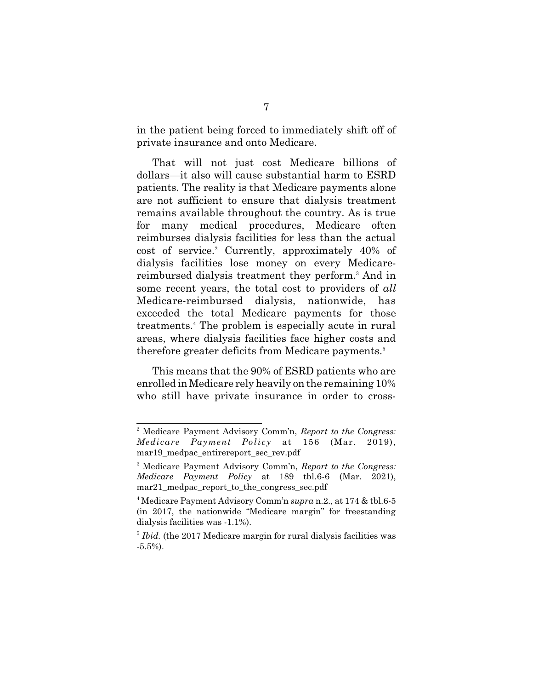in the patient being forced to immediately shift off of private insurance and onto Medicare.

That will not just cost Medicare billions of dollars—it also will cause substantial harm to ESRD patients. The reality is that Medicare payments alone are not sufficient to ensure that dialysis treatment remains available throughout the country. As is true for many medical procedures, Medicare often reimburses dialysis facilities for less than the actual cost of service.<sup>2</sup> Currently, approximately 40% of dialysis facilities lose money on every Medicarereimbursed dialysis treatment they perform.<sup>3</sup> And in some recent years, the total cost to providers of *all* Medicare-reimbursed dialysis, nationwide, has exceeded the total Medicare payments for those treatments.<sup>4</sup> The problem is especially acute in rural areas, where dialysis facilities face higher costs and therefore greater deficits from Medicare payments.<sup>5</sup>

This means that the 90% of ESRD patients who are enrolled in Medicare rely heavily on the remaining 10% who still have private insurance in order to cross-

<sup>2</sup> Medicare Payment Advisory Comm'n, *Report to the Congress: Medicare Payment Policy* at 156 (Mar. 2019), mar19 medpac entirereport sec rev.pdf

<sup>3</sup> Medicare Payment Advisory Comm'n, *Report to the Congress: Medicare Payment Policy* at 189 tbl.6-6 (Mar. 2021), mar21 medpac report to the congress sec.pdf

<sup>4</sup> Medicare Payment Advisory Comm'n *supra* n.2., at 174 & tbl.6-5 (in 2017, the nationwide "Medicare margin" for freestanding dialysis facilities was -1.1%).

<sup>&</sup>lt;sup>5</sup> Ibid. (the 2017 Medicare margin for rural dialysis facilities was -5.5%).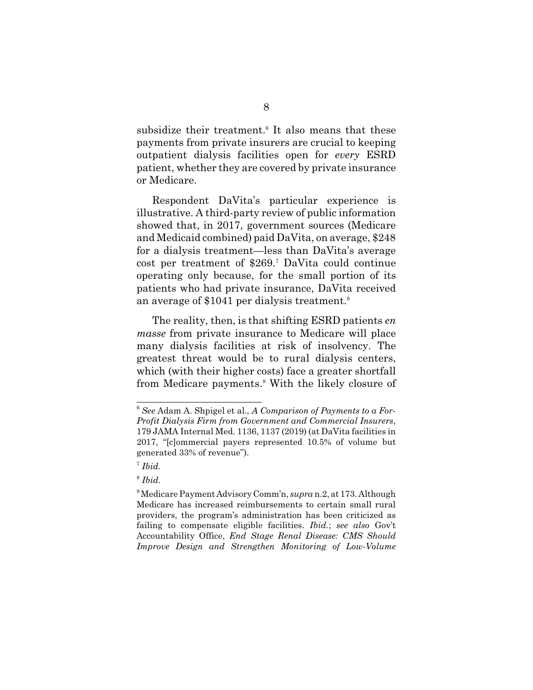subsidize their treatment.<sup>6</sup> It also means that these payments from private insurers are crucial to keeping outpatient dialysis facilities open for *every* ESRD patient, whether they are covered by private insurance or Medicare.

Respondent DaVita's particular experience is illustrative. A third-party review of public information showed that, in 2017, government sources (Medicare and Medicaid combined) paid DaVita, on average, \$248 for a dialysis treatment—less than DaVita's average cost per treatment of \$269.<sup>7</sup> DaVita could continue operating only because, for the small portion of its patients who had private insurance, DaVita received an average of \$1041 per dialysis treatment.<sup>8</sup>

The reality, then, is that shifting ESRD patients *en masse* from private insurance to Medicare will place many dialysis facilities at risk of insolvency. The greatest threat would be to rural dialysis centers, which (with their higher costs) face a greater shortfall from Medicare payments.<sup>9</sup> With the likely closure of

<sup>6</sup> *See* Adam A. Shpigel et al*., A Comparison of Payments to a For-Profit Dialysis Firm from Government and Commercial Insurers*, 179 JAMA Internal Med. 1136, 1137 (2019) (at DaVita facilities in 2017, "[c]ommercial payers represented 10.5% of volume but generated 33% of revenue").

<sup>7</sup> *Ibid.*

<sup>8</sup> *Ibid.*

<sup>9</sup> Medicare Payment Advisory Comm'n, *supra* n.2, at 173. Although Medicare has increased reimbursements to certain small rural providers, the program's administration has been criticized as failing to compensate eligible facilities. *Ibid.*; *see also* Gov't Accountability Office, *End Stage Renal Disease: CMS Should Improve Design and Strengthen Monitoring of Low-Volume*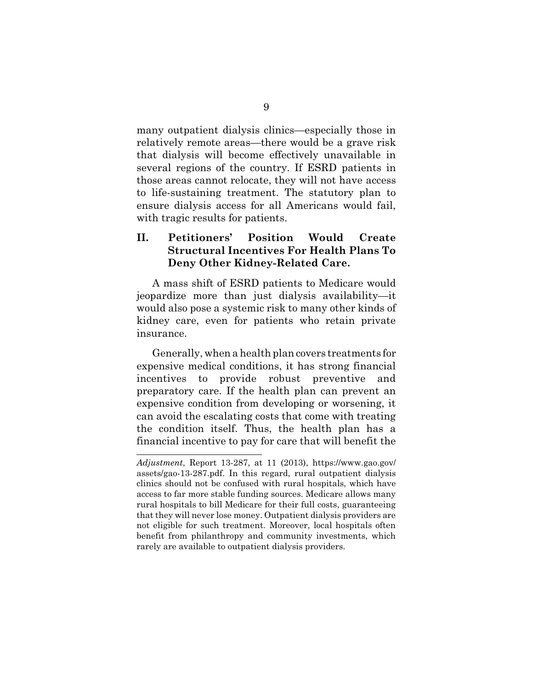many outpatient dialysis clinics—especially those in relatively remote areas—there would be a grave risk that dialysis will become effectively unavailable in several regions of the country. If ESRD patients in those areas cannot relocate, they will not have access to life-sustaining treatment. The statutory plan to ensure dialysis access for all Americans would fail, with tragic results for patients.

### **II. Petitioners' Position Would Create Structural Incentives For Health Plans To Deny Other Kidney-Related Care.**

A mass shift of ESRD patients to Medicare would jeopardize more than just dialysis availability—it would also pose a systemic risk to many other kinds of kidney care, even for patients who retain private insurance.

Generally, when a health plan covers treatments for expensive medical conditions, it has strong financial incentives to provide robust preventive and preparatory care. If the health plan can prevent an expensive condition from developing or worsening, it can avoid the escalating costs that come with treating the condition itself. Thus, the health plan has a financial incentive to pay for care that will benefit the

*Adjustment*, Report 13-287, at 11 (2013), https://www.gao.gov/ assets/gao-13-287.pdf. In this regard, rural outpatient dialysis clinics should not be confused with rural hospitals, which have access to far more stable funding sources. Medicare allows many rural hospitals to bill Medicare for their full costs, guaranteeing that they will never lose money. Outpatient dialysis providers are not eligible for such treatment. Moreover, local hospitals often benefit from philanthropy and community investments, which rarely are available to outpatient dialysis providers.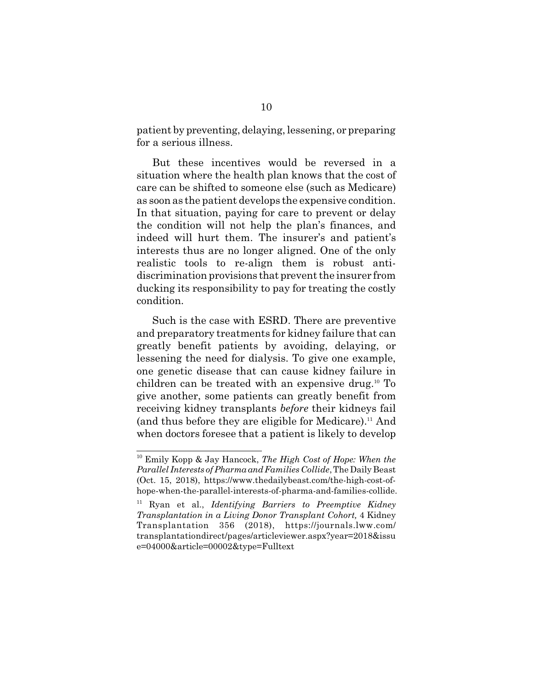patient by preventing, delaying, lessening, or preparing for a serious illness.

But these incentives would be reversed in a situation where the health plan knows that the cost of care can be shifted to someone else (such as Medicare) as soon as the patient develops the expensive condition. In that situation, paying for care to prevent or delay the condition will not help the plan's finances, and indeed will hurt them. The insurer's and patient's interests thus are no longer aligned. One of the only realistic tools to re-align them is robust antidiscrimination provisions that prevent the insurer from ducking its responsibility to pay for treating the costly condition.

Such is the case with ESRD. There are preventive and preparatory treatments for kidney failure that can greatly benefit patients by avoiding, delaying, or lessening the need for dialysis. To give one example, one genetic disease that can cause kidney failure in children can be treated with an expensive drug.10 To give another, some patients can greatly benefit from receiving kidney transplants *before* their kidneys fail (and thus before they are eligible for Medicare).<sup>11</sup> And when doctors foresee that a patient is likely to develop

<sup>10</sup> Emily Kopp & Jay Hancock, *The High Cost of Hope: When the Parallel Interests of Pharma and Families Collide*, The Daily Beast (Oct. 15, 2018), https://www.thedailybeast.com/the-high-cost-ofhope-when-the-parallel-interests-of-pharma-and-families-collide.

<sup>11</sup> Ryan et al., *Identifying Barriers to Preemptive Kidney Transplantation in a Living Donor Transplant Cohort,* 4 Kidney Transplantation 356 (2018), https://journals.lww.com/ transplantationdirect/pages/articleviewer.aspx?year=2018&issu e=04000&article=00002&type=Fulltext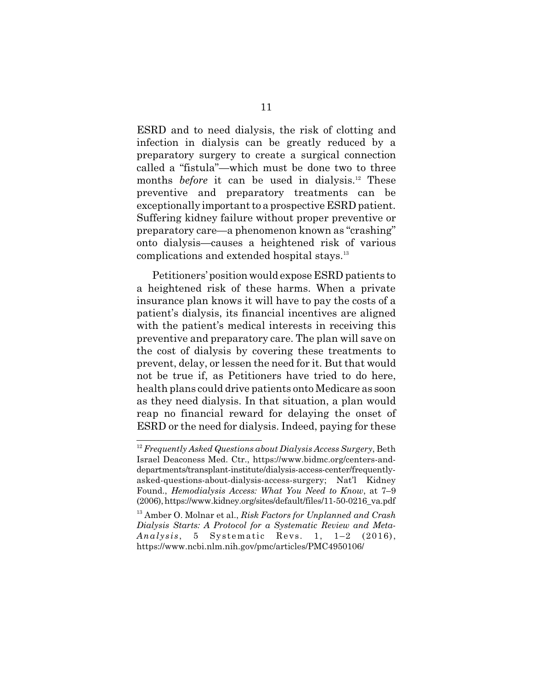ESRD and to need dialysis, the risk of clotting and infection in dialysis can be greatly reduced by a preparatory surgery to create a surgical connection called a "fistula"—which must be done two to three months *before* it can be used in dialysis.<sup>12</sup> These preventive and preparatory treatments can be exceptionally important to a prospective ESRD patient. Suffering kidney failure without proper preventive or preparatory care—a phenomenon known as "crashing" onto dialysis—causes a heightened risk of various complications and extended hospital stays.<sup>13</sup>

Petitioners' position would expose ESRD patients to a heightened risk of these harms. When a private insurance plan knows it will have to pay the costs of a patient's dialysis, its financial incentives are aligned with the patient's medical interests in receiving this preventive and preparatory care. The plan will save on the cost of dialysis by covering these treatments to prevent, delay, or lessen the need for it. But that would not be true if, as Petitioners have tried to do here, health plans could drive patients onto Medicare as soon as they need dialysis. In that situation, a plan would reap no financial reward for delaying the onset of ESRD or the need for dialysis. Indeed, paying for these

<sup>12</sup> *Frequently Asked Questions about Dialysis Access Surgery*, Beth Israel Deaconess Med. Ctr., https://www.bidmc.org/centers-anddepartments/transplant-institute/dialysis-access-center/frequentlyasked-questions-about-dialysis-access-surgery; Nat'l Kidney Found., *Hemodialysis Access: What You Need to Know*, at 7–9 (2006), https://www.kidney.org/sites/default/files/11-50-0216\_va.pdf

<sup>13</sup> Amber O. Molnar et al., *Risk Factors for Unplanned and Crash Dialysis Starts: A Protocol for a Systematic Review and Meta-Analysis* , 5 Systematic Revs. 1, 1–2 (2016), https://www.ncbi.nlm.nih.gov/pmc/articles/PMC4950106/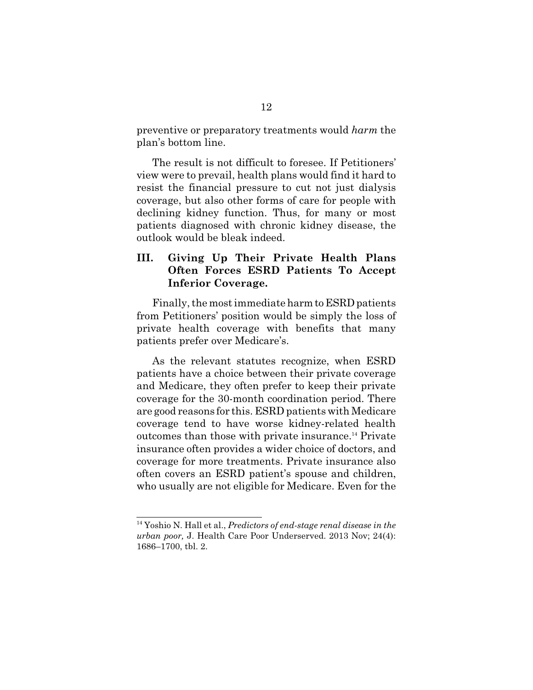preventive or preparatory treatments would *harm* the plan's bottom line.

The result is not difficult to foresee. If Petitioners' view were to prevail, health plans would find it hard to resist the financial pressure to cut not just dialysis coverage, but also other forms of care for people with declining kidney function. Thus, for many or most patients diagnosed with chronic kidney disease, the outlook would be bleak indeed.

## **III. Giving Up Their Private Health Plans Often Forces ESRD Patients To Accept Inferior Coverage.**

Finally, the most immediate harm to ESRD patients from Petitioners' position would be simply the loss of private health coverage with benefits that many patients prefer over Medicare's.

As the relevant statutes recognize, when ESRD patients have a choice between their private coverage and Medicare, they often prefer to keep their private coverage for the 30-month coordination period. There are good reasons for this. ESRD patients with Medicare coverage tend to have worse kidney-related health outcomes than those with private insurance.14 Private insurance often provides a wider choice of doctors, and coverage for more treatments. Private insurance also often covers an ESRD patient's spouse and children, who usually are not eligible for Medicare. Even for the

<sup>14</sup> Yoshio N. Hall et al., *Predictors of end-stage renal disease in the urban poor,* J. Health Care Poor Underserved. 2013 Nov; 24(4): 1686–1700, tbl. 2.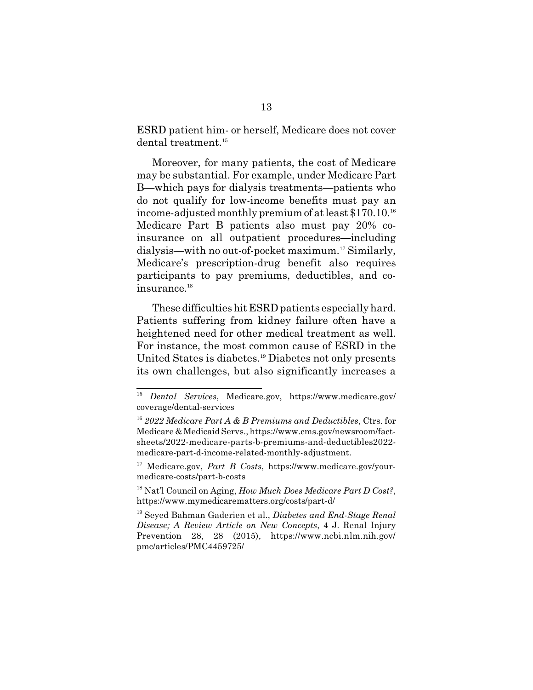ESRD patient him- or herself, Medicare does not cover dental treatment.<sup>15</sup>

Moreover, for many patients, the cost of Medicare may be substantial. For example, under Medicare Part B—which pays for dialysis treatments—patients who do not qualify for low-income benefits must pay an income-adjusted monthly premium of at least \$170.10.<sup>16</sup> Medicare Part B patients also must pay 20% coinsurance on all outpatient procedures—including dialysis—with no out-of-pocket maximum.17 Similarly, Medicare's prescription-drug benefit also requires participants to pay premiums, deductibles, and coinsurance.<sup>18</sup>

These difficulties hit ESRD patients especially hard. Patients suffering from kidney failure often have a heightened need for other medical treatment as well. For instance, the most common cause of ESRD in the United States is diabetes.<sup>19</sup> Diabetes not only presents its own challenges, but also significantly increases a

<sup>15</sup> *Dental Services*, Medicare.gov, https://www.medicare.gov/ coverage/dental-services

<sup>16</sup> *2022 Medicare Part A & B Premiums and Deductibles*, Ctrs. for Medicare & Medicaid Servs., https://www.cms.gov/newsroom/factsheets/2022-medicare-parts-b-premiums-and-deductibles2022 medicare-part-d-income-related-monthly-adjustment.

<sup>17</sup> Medicare.gov, *Part B Costs*, https://www.medicare.gov/yourmedicare-costs/part-b-costs

<sup>18</sup> Nat'l Council on Aging, *How Much Does Medicare Part D Cost?*, https://www.mymedicarematters.org/costs/part-d/

<sup>19</sup> Seyed Bahman Gaderien et al., *Diabetes and End-Stage Renal Disease; A Review Article on New Concepts*, 4 J. Renal Injury Prevention 28, 28 (2015), https://www.ncbi.nlm.nih.gov/ pmc/articles/PMC4459725/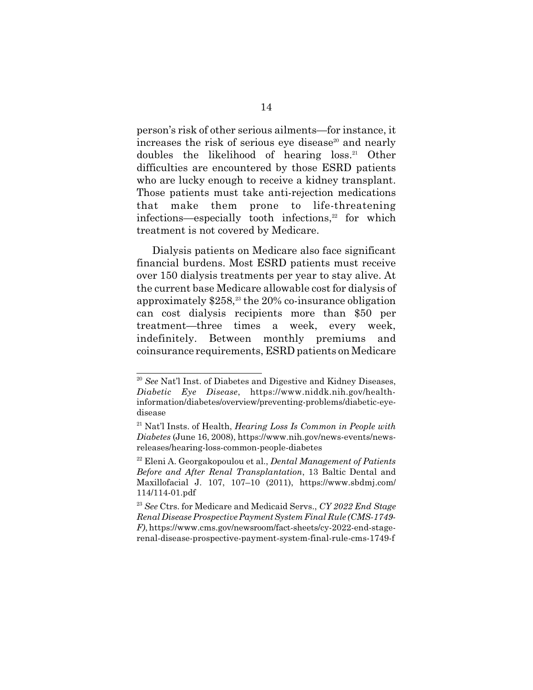person's risk of other serious ailments—for instance, it increases the risk of serious eye disease<sup>20</sup> and nearly doubles the likelihood of hearing loss.21 Other difficulties are encountered by those ESRD patients who are lucky enough to receive a kidney transplant. Those patients must take anti-rejection medications that make them prone to life-threatening infections—especially tooth infections, $22$  for which treatment is not covered by Medicare.

Dialysis patients on Medicare also face significant financial burdens. Most ESRD patients must receive over 150 dialysis treatments per year to stay alive. At the current base Medicare allowable cost for dialysis of approximately  $$258<sup>33</sup>$  the 20% co-insurance obligation can cost dialysis recipients more than \$50 per treatment—three times a week, every week, indefinitely. Between monthly premiums and coinsurance requirements, ESRD patients on Medicare

<sup>20</sup> *See* Nat'l Inst. of Diabetes and Digestive and Kidney Diseases, *Diabetic Eye Disease*, https://www.niddk.nih.gov/healthinformation/diabetes/overview/preventing-problems/diabetic-eyedisease

<sup>21</sup> Nat'l Insts. of Health, *Hearing Loss Is Common in People with Diabetes* (June 16, 2008), https://www.nih.gov/news-events/newsreleases/hearing-loss-common-people-diabetes

<sup>22</sup> Eleni A. Georgakopoulou et al., *Dental Management of Patients Before and After Renal Transplantation*, 13 Baltic Dental and Maxillofacial J. 107, 107–10 (2011), https://www.sbdmj.com/ 114/114-01.pdf

<sup>23</sup> *See* Ctrs. for Medicare and Medicaid Servs., *CY 2022 End Stage Renal Disease Prospective Payment System Final Rule (CMS-1749- F)*, https://www.cms.gov/newsroom/fact-sheets/cy-2022-end-stagerenal-disease-prospective-payment-system-final-rule-cms-1749-f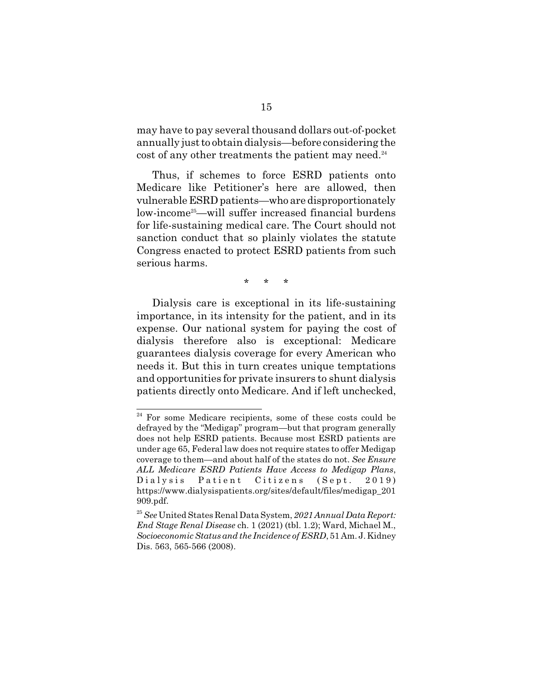may have to pay several thousand dollars out-of-pocket annually just to obtain dialysis—before considering the cost of any other treatments the patient may need.<sup>24</sup>

Thus, if schemes to force ESRD patients onto Medicare like Petitioner's here are allowed, then vulnerable ESRD patients—who are disproportionately low-income25—will suffer increased financial burdens for life-sustaining medical care. The Court should not sanction conduct that so plainly violates the statute Congress enacted to protect ESRD patients from such serious harms.

\* \* \*

Dialysis care is exceptional in its life-sustaining importance, in its intensity for the patient, and in its expense. Our national system for paying the cost of dialysis therefore also is exceptional: Medicare guarantees dialysis coverage for every American who needs it. But this in turn creates unique temptations and opportunities for private insurers to shunt dialysis patients directly onto Medicare. And if left unchecked,

<sup>&</sup>lt;sup>24</sup> For some Medicare recipients, some of these costs could be defrayed by the "Medigap" program—but that program generally does not help ESRD patients. Because most ESRD patients are under age 65, Federal law does not require states to offer Medigap coverage to them—and about half of the states do not. *See Ensure ALL Medicare ESRD Patients Have Access to Medigap Plans*, Dialysis Patient Citizens (Sept. 2019) https://www.dialysispatients.org/sites/default/files/medigap\_201 909.pdf.

<sup>25</sup>*See* United States Renal Data System, *2021 Annual Data Report: End Stage Renal Disease* ch. 1 (2021) (tbl. 1.2); Ward, Michael M., *Socioeconomic Status and the Incidence of ESRD*, 51 Am. J. Kidney Dis. 563, 565-566 (2008).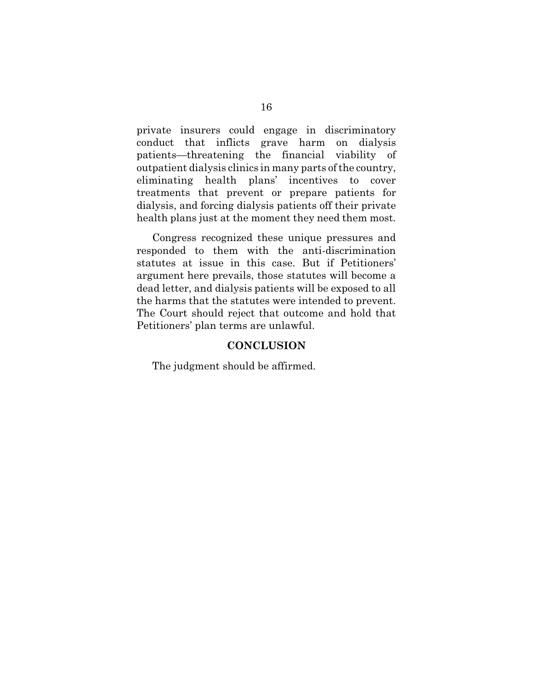private insurers could engage in discriminatory conduct that inflicts grave harm on dialysis patients—threatening the financial viability of outpatient dialysis clinics in many parts of the country, eliminating health plans' incentives to cover treatments that prevent or prepare patients for dialysis, and forcing dialysis patients off their private health plans just at the moment they need them most.

Congress recognized these unique pressures and responded to them with the anti-discrimination statutes at issue in this case. But if Petitioners' argument here prevails, those statutes will become a dead letter, and dialysis patients will be exposed to all the harms that the statutes were intended to prevent. The Court should reject that outcome and hold that Petitioners' plan terms are unlawful.

#### **CONCLUSION**

The judgment should be affirmed.